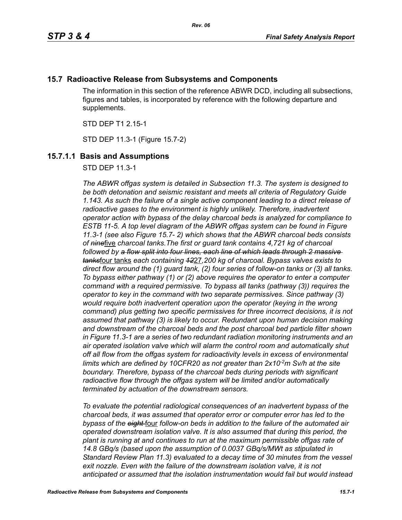# **15.7 Radioactive Release from Subsystems and Components**

The information in this section of the reference ABWR DCD, including all subsections, figures and tables, is incorporated by reference with the following departure and supplements.

STD DEP T1 2.15-1

STD DEP 11.3-1 (Figure 15.7-2)

# **15.7.1.1 Basis and Assumptions**

STD DEP 11.3-1

*The ABWR offgas system is detailed in Subsection 11.3. The system is designed to be both detonation and seismic resistant and meets all criteria of Regulatory Guide 1.143. As such the failure of a single active component leading to a direct release of radioactive gases to the environment is highly unlikely. Therefore, inadvertent operator action with bypass of the delay charcoal beds is analyzed for compliance to ESTB 11-5. A top level diagram of the ABWR offgas system can be found in Figure 11.3-1 (see also Figure 15.7- 2) which shows that the ABWR charcoal beds consists of nine*five *charcoal tanks.The first or guard tank contains 4,721 kg of charcoal followed by a flow split into four lines, each line of which leads through 2 massive tanks*four tanks *each containing 12*27*,200 kg of charcoal. Bypass valves exists to direct flow around the (1) guard tank, (2) four series of follow-on tanks or (3) all tanks. To bypass either pathway (1) or (2) above requires the operator to enter a computer command with a required permissive. To bypass all tanks (pathway (3)) requires the operator to key in the command with two separate permissives. Since pathway (3) would require both inadvertent operation upon the operator (keying in the wrong command) plus getting two specific permissives for three incorrect decisions, it is not assumed that pathway (3) is likely to occur. Redundant upon human decision making and downstream of the charcoal beds and the post charcoal bed particle filter shown in Figure 11.3-1 are a series of two redundant radiation monitoring instruments and an air operated isolation valve which will alarm the control room and automatically shut off all flow from the offgas system for radioactivity levels in excess of environmental*  limits which are defined by 10CFR20 as not greater than 2x10<sup>-2</sup>m Sv/h at the site *boundary. Therefore, bypass of the charcoal beds during periods with significant radioactive flow through the offgas system will be limited and/or automatically terminated by actuation of the downstream sensors.* 

*To evaluate the potential radiological consequences of an inadvertent bypass of the charcoal beds, it was assumed that operator error or computer error has led to the bypass of the eight* four *follow-on beds in addition to the failure of the automated air operated downstream isolation valve. It is also assumed that during this period, the plant is running at and continues to run at the maximum permissible offgas rate of 14.8 GBq/s (based upon the assumption of 0.0037 GBq/s/MWt as stipulated in Standard Review Plan 11.3) evaluated to a decay time of 30 minutes from the vessel*  exit nozzle. Even with the failure of the downstream isolation valve, it is not *anticipated or assumed that the isolation instrumentation would fail but would instead*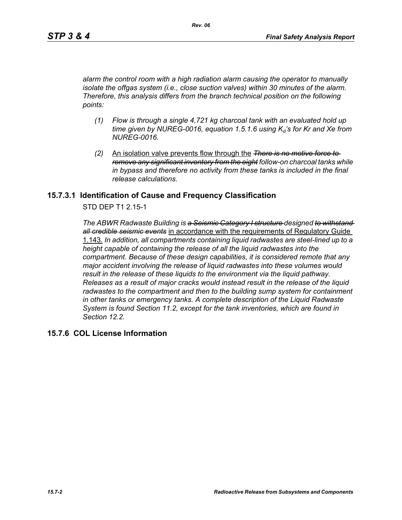*alarm the control room with a high radiation alarm causing the operator to manually isolate the offgas system (i.e., close suction valves) within 30 minutes of the alarm. Therefore, this analysis differs from the branch technical position on the following points:*

- *(1) Flow is through a single 4,721 kg charcoal tank with an evaluated hold up*   $time$  given by NUREG-0016, equation 1.5.1.6 using  $K_d$ 's for Kr and Xe from *NUREG-0016.*
- *(2)* An isolation valve prevents flow through the *There is no motive force to remove any significant inventory from the eight follow-on charcoal tanks while in bypass and therefore no activity from these tanks is included in the final release calculations.*

### **15.7.3.1 Identification of Cause and Frequency Classification**

STD DEP T1 2.15-1

*The ABWR Radwaste Building is a Seismic Category I structure designed to withstand all credible seismic events* in accordance with the requirements of Regulatory Guide 1.143. *In addition, all compartments containing liquid radwastes are steel-lined up to a height capable of containing the release of all the liquid radwastes into the compartment. Because of these design capabilities, it is considered remote that any major accident involving the release of liquid radwastes into these volumes would result in the release of these liquids to the environment via the liquid pathway. Releases as a result of major cracks would instead result in the release of the liquid radwastes to the compartment and then to the building sump system for containment in other tanks or emergency tanks. A complete description of the Liquid Radwaste System is found Section 11.2, except for the tank inventories, which are found in Section 12.2.*

### **15.7.6 COL License Information**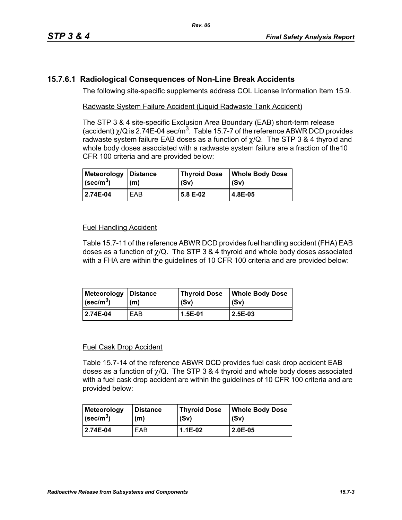# **15.7.6.1 Radiological Consequences of Non-Line Break Accidents**

The following site-specific supplements address COL License Information Item 15.9.

### Radwaste System Failure Accident (Liquid Radwaste Tank Accident)

The STP 3 & 4 site-specific Exclusion Area Boundary (EAB) short-term release (accident)  $\chi$ /Q is 2.74E-04 sec/m<sup>3</sup>. Table 15.7-7 of the reference ABWR DCD provides radwaste system failure EAB doses as a function of  $\chi$ /Q. The STP 3 & 4 thyroid and whole body doses associated with a radwaste system failure are a fraction of the10 CFR 100 criteria and are provided below:

| Meteorology               | <b>Distance</b> | <b>Thyroid Dose</b> | <b>Whole Body Dose</b> |
|---------------------------|-----------------|---------------------|------------------------|
| $\sqrt{(\text{sec/m}^3)}$ | (m)             | (Sv)                | (Sv)                   |
| 2.74E-04                  | EAB             | 5.8 E-02            | 4.8E-05                |

### Fuel Handling Accident

Table 15.7-11 of the reference ABWR DCD provides fuel handling accident (FHA) EAB doses as a function of  $\chi$ /Q. The STP 3 & 4 thyroid and whole body doses associated with a FHA are within the guidelines of 10 CFR 100 criteria and are provided below:

| Meteorology   Distance  | (m) | Thyroid Dose | <b>Whole Body Dose</b> |
|-------------------------|-----|--------------|------------------------|
| $\sqrt{\text{sec/m}^3}$ |     | (Sv)         | (Sv)                   |
| 2.74E-04                | EAB | 1.5E-01      | 2.5E-03                |

#### Fuel Cask Drop Accident

Table 15.7-14 of the reference ABWR DCD provides fuel cask drop accident EAB doses as a function of  $\chi$ /Q. The STP 3 & 4 thyroid and whole body doses associated with a fuel cask drop accident are within the quidelines of 10 CFR 100 criteria and are provided below:

| <b>Meteorology</b>        | <b>Distance</b> | <b>Thyroid Dose</b> | <b>Whole Body Dose</b> |
|---------------------------|-----------------|---------------------|------------------------|
| $ $ (sec/m <sup>3</sup> ) | (m)             | (Sv)                | (Sv)                   |
| 2.74E-04                  | EAB             | 1.1E-02             | $2.0E-0.5$             |